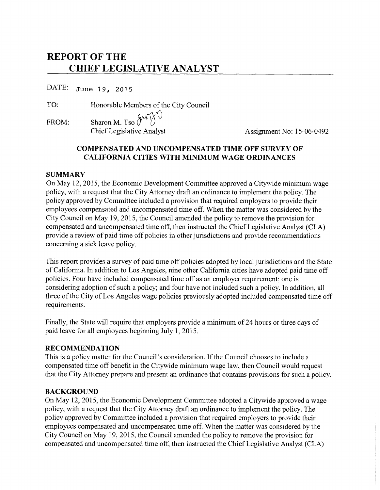# **REPORT OF THE CHIEF LEGISLATIVE ANALYST**

DATE: June 19, 2015

TO: Honorable Members of the City Council

FROM: Sharon M. Tso  $\left\{\begin{matrix}W\end{matrix}\right\}$ 

Chief Legislative Analyst Assignment No: 15-06-0492

## **COMPENSATED AND UNCOMPENSATED TIME OFF SURVEY OF CALIFORNIA CITIES WITH MINIMUM WAGE ORDINANCES**

#### **SUMMARY**

On May 12, 2015, the Economic Development Committee approved a Citywide minimum wage policy, with a request that the City Attorney draft an ordinance to implement the policy. The policy approved by Committee included a provision that required employers to provide their employees compensated and uncompensated time off. When the matter was considered by the City Council on May 19, 2015, the Council amended the policy to remove the provision for compensated and uncompensated time off, then instructed the Chief Legislative Analyst (CLA) provide a review of paid time off policies in other jurisdictions and provide recommendations concerning a sick leave policy.

This report provides a survey of paid time off policies adopted by local jurisdictions and the State ofCalifornia. In addition to Los Angeles, nine other California cities have adopted paid time off policies. Four have included compensated time off as an employer requirement; one is considering adoption of such a policy; and four have not included such a policy. In addition, all three of the City of Los Angeles wage policies previously adopted included compensated time off requirements.

Finally, the State will require that employers provide a minimum of 24 hours or three days of paid leave for all employees beginning July 1, 2015.

## **RECOMMENDATION**

This is a policy matter for the Council's consideration. If the Council chooses to include a compensated time off benefit in the Citywide minimum wage law, then Council would request that the City Attorney prepare and present an ordinance that contains provisions for such a policy.

## **BACKGROUND**

On May 12, 2015, the Economic Development Committee adopted a Citywide approved a wage policy, with a request that the City Attorney draft an ordinance to implement the policy. The policy approved by Committee included a provision that required employers to provide their employees compensated and uncompensated time off. When the matter was considered by the City Council on May 19, 2015, the Council amended the policy to remove the provision for compensated and uncompensated time off, then instructed the Chief Legislative Analyst (CLA)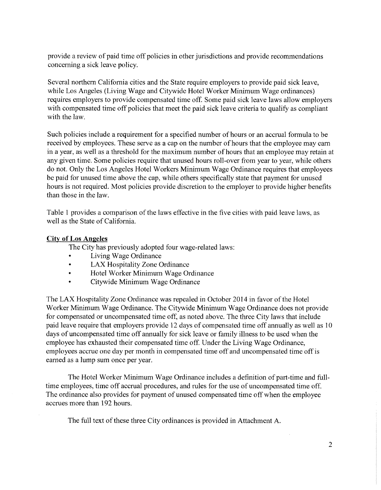provide a review of paid time off policies in other jurisdictions and provide recommendations concerning a sick leave policy.

Several northern California cities and the State require employers to provide paid sick leave, while Los Angeles (Living Wage and Citywide Hotel Worker Minimum Wage ordinances) requires employers to provide compensated time off. Some paid sick leave laws allow employers with compensated time off policies that meet the paid sick leave criteria to qualify as compliant with the law.

Such policies include a requirement for a specified number of hours or an accrual formula to be received by employees. These serve as a cap on the number of hours that the employee may earn in a year, as well as a threshold for the maximum number of hours that an employee may retain at any given time. Some policies require that unused hours roll-over from year to year, while others do not. Only the Los Angeles Hotel Workers Minimum Wage Ordinance requires that employees be paid for unused time above the cap, while others specifically state that payment for unused hours is not required. Most policies provide discretion to the employer to provide higher benefits than those in the law.

Table 1 provides a comparison of the laws effective in the five cities with paid leave laws, as well as the State of California.

#### **City of Los Angeles**

The City has previously adopted four wage-related laws:

- Living Wage Ordinance
- LAX Hospitality Zone Ordinance
- Hotel Worker Minimum Wage Ordinance
- Citywide Minimum Wage Ordinance

The LAX Hospitality Zone Ordinance was repealed in October 2014 in favor of the Hotel Worker Minimum Wage Ordinance. The Citywide Minimum Wage Ordinance does not provide for compensated or uncompensated time off, as noted above. The three City laws that include paid leave require that employers provide 12 days of compensated time off annually as well as 10 days of uncompensated time off annually for sick leave or family illness to be used when the employee has exhausted their compensated time off. Under the Living Wage Ordinance, employees accrue one day per month in compensated time off and uncompensated time off is earned as a lump sum once per year.

The Hotel Worker Minimum Wage Ordinance includes a definition of part-time and fulltime employees, time off accrual procedures, and rules for the use of uncompensated time off. The ordinance also provides for payment of unused compensated time off when the employee accrues more than 192 hours.

The full text of these three City ordinances is provided in Attachment A.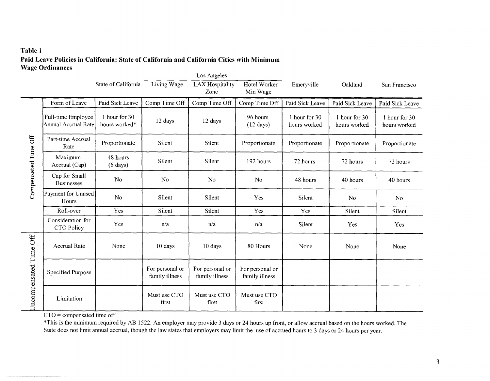# **Table 1 Paid Leave Policies in California: State of California and California Cities with Minimum Wage Ordinances**

|                                    |                                           |                                |                                   | Los Angeles                       |                                   |                               |                               |                               |
|------------------------------------|-------------------------------------------|--------------------------------|-----------------------------------|-----------------------------------|-----------------------------------|-------------------------------|-------------------------------|-------------------------------|
|                                    |                                           | State of California            | Living Wage                       | <b>LAX Hospitality</b><br>Zone    | Hotel Worker<br>Min Wage          | Emeryville                    | Oakland                       | San Francisco                 |
|                                    | Form of Leave                             | Paid Sick Leave                | Comp Time Off                     | Comp Time Off                     | Comp Time Off                     | Paid Sick Leave               | Paid Sick Leave               | Paid Sick Leave               |
| $\mathfrak{F}$<br>Compensated Time | Full-time Employee<br>Annual Accrual Rate | 1 hour for 30<br>hours worked* | 12 days                           | 12 days                           | 96 hours<br>$(12 \text{ days})$   | 1 hour for 30<br>hours worked | 1 hour for 30<br>hours worked | 1 hour for 30<br>hours worked |
|                                    | Part-time Accrual<br>Rate                 | Proportionate                  | Silent                            | Silent                            | Proportionate                     | Proportionate                 | Proportionate                 | Proportionate                 |
|                                    | Maximum<br>Accrual (Cap)                  | 48 hours<br>$(6 \text{ days})$ | Silent                            | Silent                            | 192 hours                         | 72 hours                      | 72 hours                      | 72 hours                      |
|                                    | Cap for Small<br><b>Businesses</b>        | No                             | No                                | No                                | No                                | 48 hours                      | 40 hours                      | 40 hours                      |
|                                    | Payment for Unused<br>Hours               | N <sub>o</sub>                 | Silent                            | Silent                            | Yes                               | Silent                        | No                            | N <sub>o</sub>                |
|                                    | Roll-over                                 | Yes                            | Silent                            | Silent                            | Yes                               | Yes                           | Silent                        | Silent                        |
|                                    | Consideration for<br>CTO Policy           | Yes                            | n/a                               | n/a                               | n/a                               | Silent                        | Yes                           | Yes                           |
| Jncompensated Time Off             | <b>Accrual Rate</b>                       | None                           | 10 days                           | 10 days                           | 80 Hours                          | None                          | None                          | None                          |
|                                    | Specified Purpose                         |                                | For personal or<br>family illness | For personal or<br>family illness | For personal or<br>family illness |                               |                               |                               |
|                                    | Limitation                                |                                | Must use CTO<br>first             | Must use CTO<br>first             | Must use CTO<br>first             |                               |                               |                               |

CTO = compensated time off

\*This is the minimum required by AB 1522. An employer may provide 3 days or 24 hours up front, or allow accrual based on the hours worked. The State does not limit annual accrual, though the law states that employers may limit the use of accrued hours to 3 days or 24 hours per year.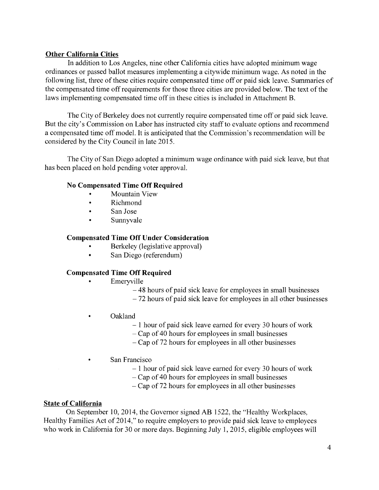### **Other California Cities**

In addition to Los Angeles, nine other California cities have adopted minimum wage ordinances or passed ballot measures implementing a citywide minimum wage. As noted in the following list, three of these cities require compensated time off or paid sick leave. Summaries of the compensated time off requirements for those three cities are provided below. The text of the laws implementing compensated time off in these cities is included in Attachment B.

The City of Berkeley does not currently require compensated time off or paid sick leave. But the city's Commission on Labor has instructed city staff to evaluate options and recommend a compensated time off model. It is anticipated that the Commission's recommendation will be considered by the City Council in late 2015.

The City of San Diego adopted a minimum wage ordinance with paid sick leave, but that has been placed on hold pending voter approval.

#### **No Compensated Time Off Required**

- Mountain View
- Richmond
- San Jose
- Sunnyvale

#### **Compensated Time Off Under Consideration**

- Berkeley (legislative approval)
- San Diego (referendum)

#### **Compensated Time Off Required**

- **Emeryville** 
	- <sup>48</sup> hours of paid sick leave for employees in small businesses
	- $-72$  hours of paid sick leave for employees in all other businesses
- Oakland
	- $-1$  hour of paid sick leave earned for every 30 hours of work
	- $-$  Cap of 40 hours for employees in small businesses
	- Cap of <sup>72</sup> hours for employees in all other businesses
	- San Francisco
		- $-1$  hour of paid sick leave earned for every 30 hours of work
		- Cap of <sup>40</sup> hours for employees in small businesses
		- Cap of <sup>72</sup> hours for employees in all other businesses

### **State of California**

On September 10, 2014, the Governor signed AB 1522, the "Healthy Workplaces, Healthy Families Act of 2014," to require employers to provide paid sick leave to employees who work in California for 30 or more days. Beginning July 1, 2015, eligible employees will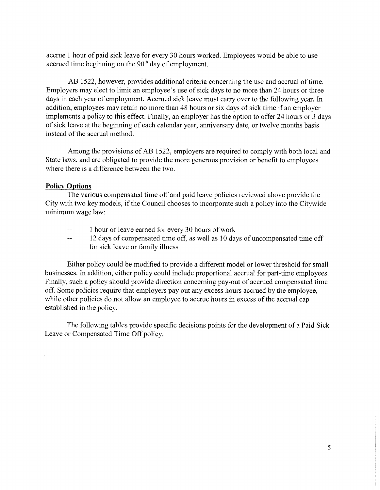accrue 1 hour of paid sick leave for every 30 hours worked. Employees would be able to use accrued time beginning on the  $90<sup>th</sup>$  day of employment.

AB 1522, however, provides additional criteria concerning the use and accrual of time. Employers may elect to limit an employee's use of sick days to no more than 24 hours or three days in each year of employment. Accrued sick leave must carry over to the following year. In addition, employees may retain no more than 48 hours or six days of sick time if an employer implements a policy to this effect. Finally, an employer has the option to offer 24 hours or 3 days of sick leave at the beginning of each calendar year, anniversary date, or twelve months basis instead of the accrual method.

Among the provisions of AB 1522, employers are required to comply with both local and State laws, and are obligated to provide the more generous provision or benefit to employees where there is a difference between the two.

#### **Policy Options**

The various compensated time off and paid leave policies reviewed above provide the City with two key models, if the Council chooses to incorporate such a policy into the Citywide minimum wage law:

- -- 1 hour of leave earned for every 30 hours of work
- 12 days of compensated time off, as well as 10 days of uncompensated time off for sick leave or family illness

Either policy could be modified to provide a different model or lower threshold for small businesses. In addition, either policy could include proportional accrual for part-time employees. Finally, such a policy should provide direction concerning pay-out of accrued compensated time off. Some policies require that employers pay out any excess hours accrued by the employee, while other policies do not allow an employee to accrue hours in excess of the accrual cap established in the policy.

The following tables provide specific decisions points for the development of a Paid Sick Leave or Compensated Time Off policy.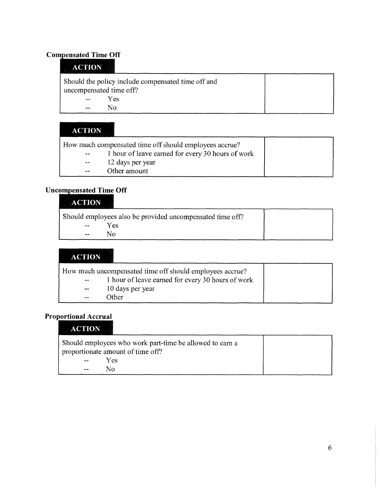# **Compensated Time Off**

# **ACTION**

Should the policy include compensated time off and uncompensated time off? — Yes

- No

<u>. </u>

# **ACTION**

| How much compensated time off should employees accrue? |                                                   |  |  |  |  |
|--------------------------------------------------------|---------------------------------------------------|--|--|--|--|
| $-$                                                    | 1 hour of leave earned for every 30 hours of work |  |  |  |  |
| $-$                                                    | 12 days per year                                  |  |  |  |  |
| $-$                                                    | Other amount                                      |  |  |  |  |

# **Uncompensated Time Off**

| <b>ACTION</b> |                                                                  |  |
|---------------|------------------------------------------------------------------|--|
|               | Should employees also be provided uncompensated time off?<br>Yes |  |
|               | NO                                                               |  |

# **ACTION**

1

| How much uncompensated time off should employees accrue? |                                                   |  |  |  |  |
|----------------------------------------------------------|---------------------------------------------------|--|--|--|--|
| $\sim$ $-$                                               | 1 hour of leave earned for every 30 hours of work |  |  |  |  |
| $\sim$ $\sim$                                            | 10 days per year                                  |  |  |  |  |
|                                                          | )ther                                             |  |  |  |  |
|                                                          |                                                   |  |  |  |  |

# **Proportional Accrual**

| Should employees who work part-time be allowed to earn a<br>proportionate amount of time off? |  |
|-----------------------------------------------------------------------------------------------|--|
| Yes                                                                                           |  |
| N٥                                                                                            |  |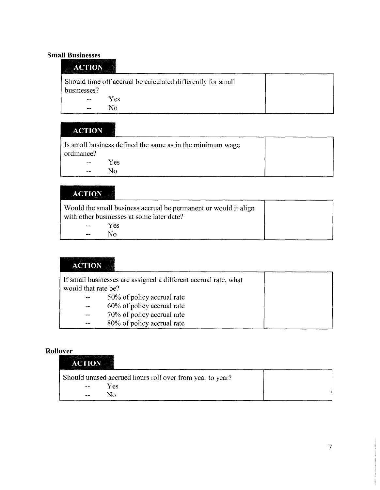# **Small Businesses**

| <b>ACTION</b> |                                                             |  |
|---------------|-------------------------------------------------------------|--|
| businesses?   | Should time off accrual be calculated differently for small |  |
| $-$           | Yes                                                         |  |
|               | No                                                          |  |

# ACTION

1

| the company's company's company's company's company's company's company's company's company's company's company's |     |  |  |  |
|-------------------------------------------------------------------------------------------------------------------|-----|--|--|--|
| Is small business defined the same as in the minimum wage                                                         |     |  |  |  |
| ordinance?                                                                                                        |     |  |  |  |
| --                                                                                                                | Yes |  |  |  |
| $\sim$                                                                                                            | NΩ  |  |  |  |

# **ACTION**

|     | Would the small business accrual be permanent or would it align |  |  |  |  |
|-----|-----------------------------------------------------------------|--|--|--|--|
|     | with other businesses at some later date?                       |  |  |  |  |
| $-$ | Y es                                                            |  |  |  |  |
| $-$ |                                                                 |  |  |  |  |

# ACTION

| If small businesses are assigned a different accrual rate, what<br>would that rate be? |                            |  |  |  |
|----------------------------------------------------------------------------------------|----------------------------|--|--|--|
| $\sim$ $\sim$                                                                          | 50% of policy accrual rate |  |  |  |
|                                                                                        | 60% of policy accrual rate |  |  |  |
|                                                                                        | 70% of policy accrual rate |  |  |  |
|                                                                                        | 80% of policy accrual rate |  |  |  |

# **Rollover**

| <b>ACTION</b> |                                                          |  |
|---------------|----------------------------------------------------------|--|
|               | Should unused accrued hours roll over from year to year? |  |
| $- -$         | Yes                                                      |  |
|               | Ν∩                                                       |  |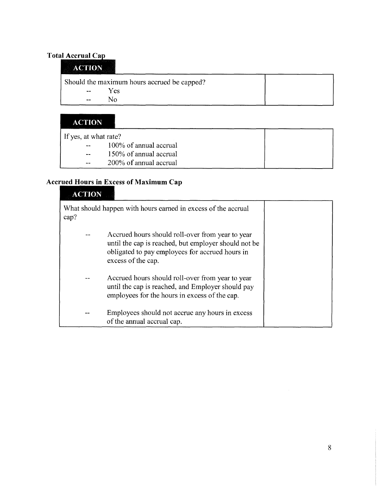# **Total Accrual Cap**

**ACTION** 

Should the maximum hours accrued be capped?

-- Yes<br>-- No

- No

# **ACTION**

If yes, at what rate?

|     | at what rate?          |  |  |  |  |  |
|-----|------------------------|--|--|--|--|--|
|     | 100% of annual accrual |  |  |  |  |  |
| $-$ | 150% of annual accrual |  |  |  |  |  |
|     | 200% of annual accrual |  |  |  |  |  |

Τ

# **Accrued Hours in Excess of Maximum Cap**

| <b>ACTION</b>                                                         |                                                                                                                                                                                   |  |  |  |
|-----------------------------------------------------------------------|-----------------------------------------------------------------------------------------------------------------------------------------------------------------------------------|--|--|--|
| What should happen with hours earned in excess of the accrual<br>cap? |                                                                                                                                                                                   |  |  |  |
|                                                                       | Accrued hours should roll-over from year to year<br>until the cap is reached, but employer should not be<br>obligated to pay employees for accrued hours in<br>excess of the cap. |  |  |  |
|                                                                       | Accrued hours should roll-over from year to year<br>until the cap is reached, and Employer should pay<br>employees for the hours in excess of the cap.                            |  |  |  |
|                                                                       | Employees should not accrue any hours in excess<br>of the annual accrual cap.                                                                                                     |  |  |  |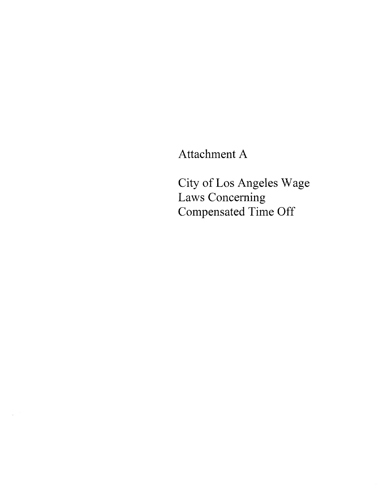Attachment A

City of Los Angeles Wage Laws Concerning Compensated Time Off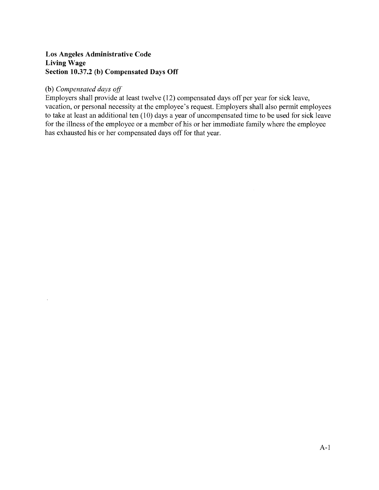## **Los Angeles Administrative Code Living Wage Section 10.37.2 (b) Compensated Days Off**

## (b) *Compensated days off*

Employers shall provide at least twelve (12) compensated days off per year for sick leave, vacation, or personal necessity at the employee's request. Employers shall also permit employees to take at least an additional ten (10) days a year of uncompensated time to be used for sick leave for the illness of the employee or a member of his or her immediate family where the employee has exhausted his or her compensated days off for that year.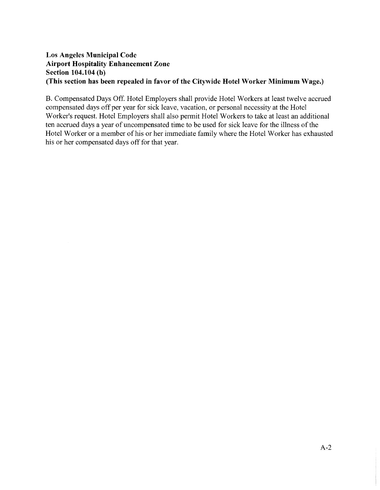# **Los Angeles Municipal Code Airport Hospitality Enhancement Zone Section 104.104 (b) (This section has been repealed in favor of the Citywide Hotel Worker Minimum Wage.)**

B. Compensated Days Off. Hotel Employers shall provide Hotel Workers at least twelve accrued compensated days off per year for sick leave, vacation, or personal necessity at the Hotel Worker's request. Hotel Employers shall also permit Hotel Workers to take at least an additional ten accrued days a year of uncompensated time to be used for sick leave for the illness of the Hotel Worker or a member of his or her immediate family where the Hotel Worker has exhausted his or her compensated days off for that year.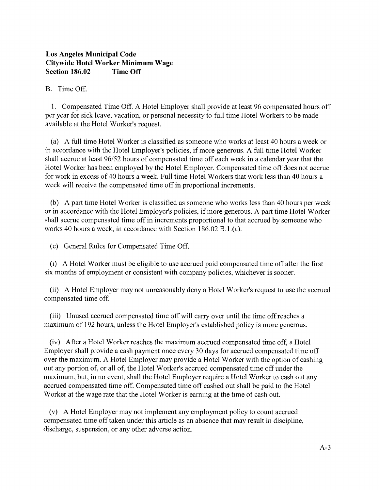## **Los Angeles Municipal Code Citywide Hotel Worker Minimum Wage Section 186.02 Time Off**

B. Time Off.

1. Compensated Time Off. A Hotel Employer shall provide at least 96 compensated hours off per year for sick leave, vacation, or personal necessity to full time Hotel Workers to be made available at the Hotel Worker's request.

(a) A full time Hotel Worker is classified as someone who works at least 40 hours a week or in accordance with the Hotel Employer's policies, if more generous. A full time Hotel Worker shall accrue at least 96/52 hours of compensated time off each week in a calendar year that the Hotel Worker has been employed by the Hotel Employer. Compensated time off does not accrue for work in excess of 40 hours a week. Full time Hotel Workers that work less than 40 hours a week will receive the compensated time off in proportional increments.

(b) A part time Hotel Worker is classified as someone who works less than 40 hours per week or in accordance with the Hotel Employer's policies, ifmore generous. A part time Hotel Worker shall accrue compensated time off in increments proportional to that accrued by someone who works 40 hours a week, in accordance with Section 186.02 B.l.(a).

(c) General Rules for Compensated Time Off.

(i) A Hotel Worker must be eligible to use accrued paid compensated time off after the first six months of employment or consistent with company policies, whichever is sooner.

(ii) A Hotel Employer may not unreasonably deny a Hotel Worker's request to use the accrued compensated time off.

(iii) Unused accrued compensated time offwill carry over until the time offreaches a maximum of 192 hours, unless the Hotel Employer's established policy is more generous.

(iv) After a Hotel Worker reaches the maximum accrued compensated time off, a Hotel Employer shall provide a cash payment once every 30 days for accrued compensated time off over the maximum. A Hotel Employer may provide a Hotel Worker with the option of cashing out any portion of, or all of, the Hotel Worker's accrued compensated time offunder the maximum, but, in no event, shall the Hotel Employer require a Hotel Worker to cash out any accrued compensated time off. Compensated time off cashed out shall be paid to the Hotel Worker at the wage rate that the Hotel Worker is earning at the time of cash out.

(v) A Hotel Employer may not implement any employment policy to count accrued compensated time offtaken under this article as an absence that may result in discipline, discharge, suspension, or any other adverse action.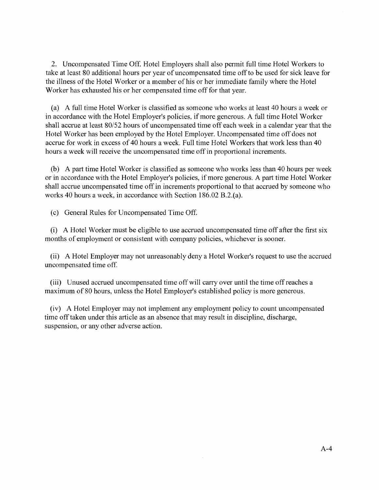2. Uncompensated Time Off. Hotel Employers shall also permit full time Hotel Workers to take at least 80 additional hours per year of uncompensated time off to be used for sick leave for the illness of the Hotel Worker or a member of his or her immediate family where the Hotel Worker has exhausted his or her compensated time off for that year.

(a) A full time Hotel Worker is classified as someone who works at least 40 hours a week or in accordance with the Hotel Employer's policies, if more generous. A full time Hotel Worker shall accrue at least 80/52 hours of uncompensated time off each week in a calendar year that the Hotel Worker has been employed by the Hotel Employer. Uncompensated time off does not accrue for work in excess of 40 hours a week. Full time Hotel Workers that work less than 40 hours a week will receive the uncompensated time off in proportional increments.

(b) A part time Hotel Worker is classified as someone who works less than 40 hours per week or in accordance with the Hotel Employer's policies, ifmore generous. A part time Hotel Worker shall accrue uncompensated time off in increments proportional to that accrued by someone who works 40 hours a week, in accordance with Section 186.02 B.2.(a).

(c) General Rules for Uncompensated Time Off.

(i) A Hotel Worker must be eligible to use accrued uncompensated time off after the first six months of employment or consistent with company policies, whichever is sooner.

(ii) A Hotel Employer may not unreasonably deny a Hotel Worker's request to use the accrued uncompensated time off.

(iii) Unused accrued uncompensated time offwill carry over until the time offreaches a maximum of 80 hours, unless the Hotel Employer's established policy is more generous.

(iv) A Hotel Employer may not implement any employment policy to count uncompensated time off taken under this article as an absence that may result in discipline, discharge, suspension, or any other adverse action.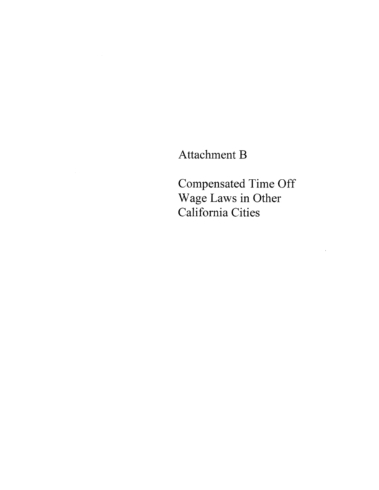Attachment B

Compensated Time Off Wage Laws in Other California Cities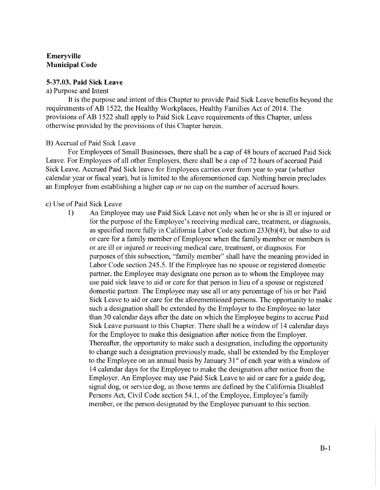## **Emeryville Municipal Code**

## **5-37.03. Paid Sick Leave**

#### a) Purpose and Intent

It is the purpose and intent of this Chapter to provide Paid Sick Leave benefits beyond the requirements of AB 1522, the Healthy Workplaces, Healthy Families Act of 2014. The provisions of AB 1522 shall apply to Paid Sick Leave requirements of this Chapter, unless otherwise provided by the provisions of this Chapter herein.

#### B) Accrual of Paid Sick Leave

For Employees of Small Businesses, there shall be a cap of 48 hours of accrued Paid Sick Leave. For Employees of all other Employers, there shall be a cap of 72 hours of accrued Paid Sick Leave. Accrued Paid Sick leave for Employees carries over from year to year (whether calendar year or fiscal year), but is limited to the aforementioned cap. Nothing herein precludes an Employer from establishing a higher cap or no cap on the number of accrued hours.

### c) Use of Paid Sick Leave

1) An Employee may use Paid Sick Leave not only when he or she is ill or injured or for the purpose of the Employee's receiving medical care, treatment, or diagnosis, as specified more fully in California Labor Code section 233(b)(4), but also to aid or care for a family member of Employee when the family member or members is or are ill or injured or receiving medical care, treatment, or diagnosis. For purposes of this subsection, "family member" shall have the meaning provided in Labor Code section 245.5. If the Employee has no spouse or registered domestic partner, the Employee may designate one person as to whom the Employee may use paid sick leave to aid or care for that person in lieu of a spouse or registered domestic partner. The Employee may use all or any percentage of his or her Paid Sick Leave to aid or care for the aforementioned persons. The opportunity to make such a designation shall be extended by the Employer to the Employee no later than 30 calendar days after the date on which the Employee begins to accrue Paid Sick Leave pursuant to this Chapter. There shall be a window of 14 calendar days for the Employee to make this designation after notice from the Employer. Thereafter, the opportunity to make such a designation, including the opportunity to change such a designation previously made, shall be extended by the Employer to the Employee on an annual basis by January  $31<sup>st</sup>$  of each year with a window of 14 calendar days for the Employee to make the designation after notice from the Employer. An Employee may use Paid Sick Leave to aid or care for a guide dog, signal dog, or service dog, as those terms are defined by the California Disabled Persons Act, Civil Code section 54.1, of the Employee, Employee's family member, or the person designated by the Employee pursuant to this section.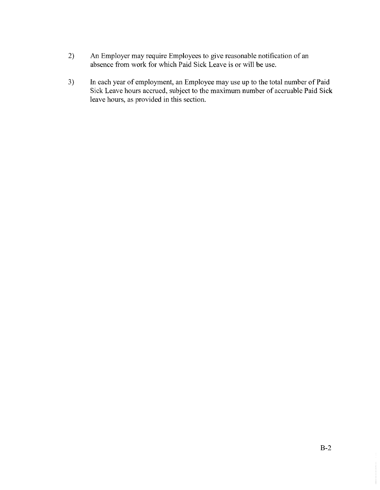- 2) An Employer may require Employees to give reasonable notification of an absence from work for which Paid Sick Leave is or will be use.
- 3) In each year of employment, an Employee may use up to the total number of Paid Sick Leave hours accrued, subject to the maximum number of accruable Paid Sick leave hours, as provided in this section.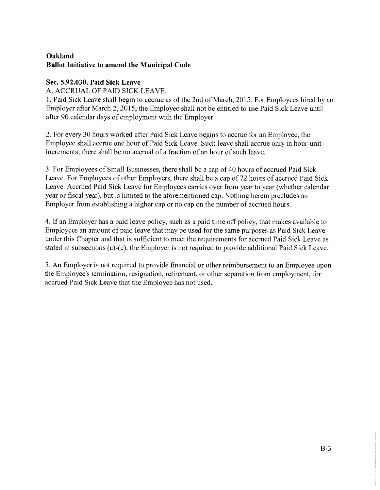# **Oakland Ballot Initiative to amend the Municipal Code**

## **Sec. 5.92.030. Paid Sick Leave**

A. ACCRUAL OF PAID SICK LEAVE.

1. Paid Sick Leave shall begin to accrue as of the 2nd of March, 2015. For Employees hired by an Employer after March 2, 2015, the Employee shall not be entitled to use Paid Sick Leave until after 90 calendar days of employment with the Employer.

2. For every 30 hours worked after Paid Sick Leave begins to accrue for an Employee, the Employee shall accrue one hour of Paid Sick Leave. Such leave shall accrue only in hour-unit increments; there shall be no accrual of a fraction of an hour of such leave.

3. For Employees of Small Businesses, there shall be a cap of 40 hours of accrued Paid Sick Leave. For Employees of other Employers, there shall be a cap of 72 hours of accrued Paid Sick Leave. Accrued Paid Sick Leave for Employees carries over from year to year (whether calendar year or fiscal year), but is limited to the aforementioned cap. Nothing herein precludes an Employer from establishing a higher cap or no cap on the number of accrued hours.

4. If an Employer has a paid leave policy, such as a paid time off policy, that makes available to Employees an amount of paid leave that may be used for the same purposes as Paid Sick Leave under this Chapter and that is sufficient to meet the requirements for accrued Paid Sick Leave as stated in subsections (a)-(c), the Employer is not required to provide additional Paid Sick Leave.

5. An Employer is not required to provide financial or other reimbursement to an Employee upon the Employee's termination, resignation, retirement, or other separation from employment, for accrued Paid Sick Leave that the Employee has not used.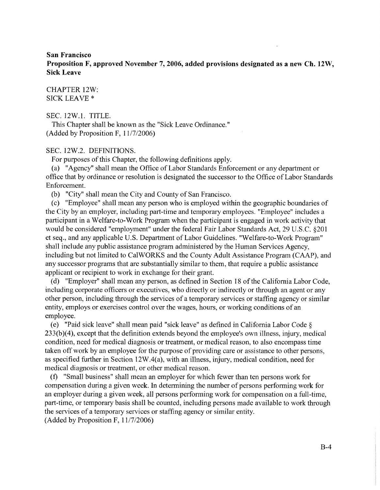## **San Francisco Proposition F, approved November 7, 2006, added provisions designated as a new Ch. 12W, Sick Leave**

CHAPTER 12W: SICK LEAVE \*

SEC. 12W.1. TITLE.

This Chapter shall be known as the "Sick Leave Ordinance." (Added by Proposition F, 11/7/2006)

#### SEC. 12W.2. DEFINITIONS.

For purposes of this Chapter, the following definitions apply.

(a) "Agency" shall mean the Office ofLabor Standards Enforcement or any department or office that by ordinance or resolution is designated the successor to the Office ofLabor Standards Enforcement.

(b) "City" shall mean the City and County of San Francisco.

(c) "Employee" shall mean any person who is employed within the geographic boundaries of the City by an employer, including part-time and temporary employees. "Employee" includes a participant in a Welfare-to-Work Program when the participant is engaged in work activity that would be considered "employment" under the federal Fair Labor Standards Act, 29 U.S.C. §201 et seq., and any applicable U.S. Department of Labor Guidelines. "Welfare-to-Work Program" shall include any public assistance program administered by the Human Services Agency, including but not limited to CalWORKS and the County Adult Assistance Program (CAAP), and any successor programs that are substantially similar to them, that require a public assistance applicant or recipient to work in exchange for their grant.

(d) "Employer" shall mean any person, as defined in Section 18 ofthe California Labor Code, including corporate officers or executives, who directly or indirectly or through an agent or any other person, including through the services of a temporary services or staffing agency or similar entity, employs or exercises control over the wages, hours, or working conditions of an employee.

(e) "Paid sick leave" shall mean paid "sick leave" as defined in California Labor Code § 233(b)(4), except that the definition extends beyond the employee's own illness, injury, medical condition, need for medical diagnosis or treatment, or medical reason, to also encompass time taken off work by an employee for the purpose of providing care or assistance to other persons, as specified further in Section 12W.4(a), with an illness, injury, medical condition, need for medical diagnosis or treatment, or other medical reason.

(f) "Small business" shall mean an employer for which fewer than ten persons work for compensation during a given week. In determining the number of persons performing work for an employer during a given week, all persons performing work for compensation on a full-time, part-time, or temporary basis shall be counted, including persons made available to work through the services of a temporary services or staffing agency or similar entity. (Added by Proposition F, 11/7/2006)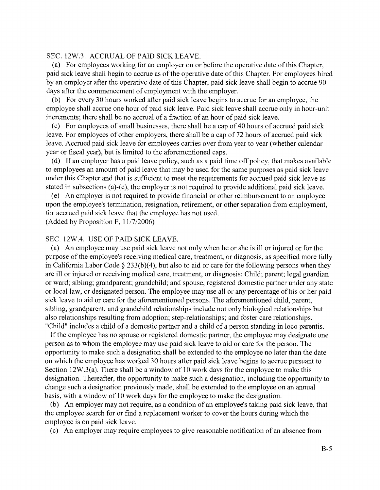#### SEC. 12W.3. ACCRUAL OF PAID SICK LEAVE.

(a) For employees working for an employer on or before the operative date ofthis Chapter, paid sick leave shall begin to accrue as of the operative date of this Chapter. For employees hired by an employer after the operative date of this Chapter, paid sick leave shall begin to accrue 90 days after the commencement of employment with the employer.

(b) For every 30 hours worked after paid sick leave begins to accrue for an employee, the employee shall accrue one hour of paid sick leave. Paid sick leave shall accrue only in hour-unit increments; there shall be no accrual of a fraction of an hour of paid sick leave.

(c) For employees ofsmall businesses, there shall be a cap of 40 hours of accrued paid sick leave. For employees of other employers, there shall be a cap of 72 hours of accrued paid sick leave. Accrued paid sick leave for employees carries over from year to year (whether calendar year or fiscal year), but is limited to the aforementioned caps.

(d) If an employer has a paid leave policy, such as a paid time off policy, that makes available to employees an amount of paid leave that may be used for the same purposes as paid sick leave under this Chapter and that is sufficient to meet the requirements for accrued paid sick leave as stated in subsections (a)-(c), the employer is not required to provide additional paid sick leave.

(e) An employer is not required to provide financial or other reimbursement to an employee upon the employee's termination, resignation, retirement, or other separation from employment, for accrued paid sick leave that the employee has not used. (Added by Proposition F, 11/7/2006)

#### SEC. 12W.4. USE OF PAID SICK LEAVE.

(a) An employee may use paid sick leave not only when he or she is ill or injured or for the purpose of the employee's receiving medical care, treatment, or diagnosis, as specified more fully in California Labor Code  $\S 233(b)(4)$ , but also to aid or care for the following persons when they are ill or injured or receiving medical care, treatment, or diagnosis: Child; parent; legal guardian or ward; sibling; grandparent; grandchild; and spouse, registered domestic partner under any state or local law, or designated person. The employee may use all or any percentage of his or her paid sick leave to aid or care for the aforementioned persons. The aforementioned child, parent, sibling, grandparent, and grandchild relationships include not only biological relationships but also relationships resulting from adoption; step-relationships; and foster care relationships. "Child" includes a child of a domestic partner and a child of a person standing in loco parentis.

If the employee has no spouse or registered domestic partner, the employee may designate one person as to whom the employee may use paid sick leave to aid or care for the person. The opportunity to make such a designation shall be extended to the employee no later than the date on which the employee has worked 30 hours after paid sick leave begins to accrue pursuant to Section 12W.3(a). There shall be a window of 10 work days for the employee to make this designation. Thereafter, the opportunity to make such a designation, including the opportunity to change such a designation previously made, shall be extended to the employee on an annual basis, with a window of 10 work days for the employee to make the designation.

(b) An employer may not require, as a condition of an employee's taking paid sick leave, that the employee search for or find a replacement worker to cover the hours during which the employee is on paid sick leave.

(c) An employer may require employees to give reasonable notification of an absence from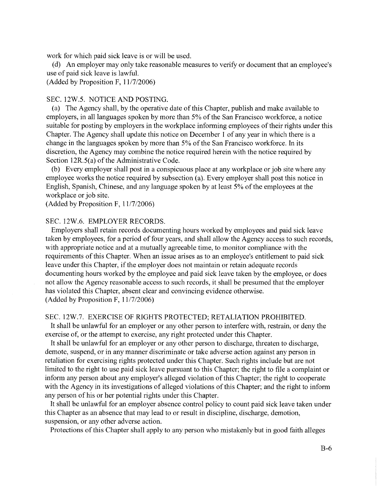work for which paid sick leave is or will be used.

(d) An employer may only take reasonable measures to verity or document that an employee's use of paid sick leave is lawful.

(Added by Proposition F, 11/7/2006)

#### SEC. 12W.5. NOTICE AND POSTING.

(a) The Agency shall, by the operative date of this Chapter, publish and make available to employers, in all languages spoken by more than 5% of the San Francisco workforce, a notice suitable for posting by employers in the workplace informing employees of their rights under this Chapter. The Agency shall update this notice on December <sup>1</sup> of any year in which there is a change in the languages spoken by more than  $5\%$  of the San Francisco workforce. In its discretion, the Agency may combine the notice required herein with the notice required by Section  $12R.5(a)$  of the Administrative Code.

(b) Every employer shall post in a conspicuous place at any workplace or job site where any employee works the notice required by subsection (a). Every employer shall post this notice in English, Spanish, Chinese, and any language spoken by at least 5% of the employees at the workplace or job site.

(Added by Proposition F, 11/7/2006)

#### SEC. 12W.6. EMPLOYER RECORDS.

Employers shall retain records documenting hours worked by employees and paid sick leave taken by employees, for a period of four years, and shall allow the Agency access to such records, with appropriate notice and at a mutually agreeable time, to monitor compliance with the requirements of this Chapter. When an issue arises as to an employee's entitlement to paid sick leave under this Chapter, if the employer does not maintain or retain adequate records documenting hours worked by the employee and paid sick leave taken by the employee, or does not allow the Agency reasonable access to such records, it shall be presumed that the employer has violated this Chapter, absent clear and convincing evidence otherwise. (Added by Proposition F, 11/7/2006)

#### SEC. 12W.7. EXERCISE OF RIGHTS PROTECTED; RETALIATION PROHIBITED.

It shall be unlawful for an employer or any other person to interfere with, restrain, or deny the exercise of, or the attempt to exercise, any right protected under this Chapter.

It shall be unlawful for an employer or any other person to discharge, threaten to discharge, demote, suspend, or in any manner discriminate or take adverse action against any person in retaliation for exercising rights protected under this Chapter. Such rights include but are not limited to the right to use paid sick leave pursuant to this Chapter; the right to file a complaint or inform any person about any employer's alleged violation of this Chapter; the right to cooperate with the Agency in its investigations of alleged violations of this Chapter; and the right to inform any person of his or her potential rights under this Chapter.

It shall be unlawful for an employer absence control policy to count paid sick leave taken under this Chapter as an absence that may lead to or result in discipline, discharge, demotion, suspension, or any other adverse action.

Protections of this Chapter shall apply to any person who mistakenly but in good faith alleges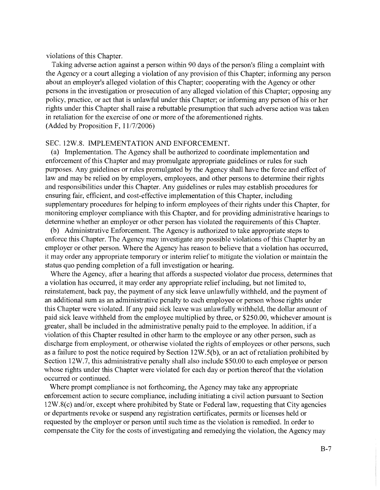violations of this Chapter.

Taking adverse action against a person within 90 days of the person's filing a complaint with the Agency or a court alleging a violation of any provision of this Chapter; informing any person about an employer's alleged violation of this Chapter; cooperating with the Agency or other persons in the investigation or prosecution of any alleged violation of this Chapter; opposing any policy, practice, or act that is unlawful under this Chapter; or informing any person of his or her rights under this Chapter shall raise a rebuttable presumption that such adverse action was taken in retaliation for the exercise of one or more of the aforementioned rights. (Added by Proposition F, 11/7/2006)

#### SEC. 12W.8. IMPLEMENTATION AND ENFORCEMENT.

(a) Implementation. The Agency shall be authorized to coordinate implementation and enforcement of this Chapter and may promulgate appropriate guidelines or rules for such purposes. Any guidelines or rules promulgated by the Agency shall have the force and effect of law and may be relied on by employers, employees, and other persons to determine their rights and responsibilities under this Chapter. Any guidelines or rules may establish procedures for ensuring fair, efficient, and cost-effective implementation of this Chapter, including supplementary procedures for helping to inform employees of their rights under this Chapter, for monitoring employer compliance with this Chapter, and for providing administrative hearings to determine whether an employer or other person has violated the requirements of this Chapter.

(b) Administrative Enforcement. The Agency is authorized to take appropriate steps to enforce this Chapter. The Agency may investigate any possible violations of this Chapter by an employer or other person. Where the Agency has reason to believe that a violation has occurred, it may order any appropriate temporary or interim relief to mitigate the violation or maintain the status quo pending completion of a full investigation or hearing.

Where the Agency, after a hearing that affords a suspected violator due process, determines that a violation has occurred, it may order any appropriate relief including, but not limited to, reinstatement, back pay, the payment of any sick leave unlawfully withheld, and the payment of an additional sum as an administrative penalty to each employee or person whose rights under this Chapter were violated. If any paid sick leave was unlawfully withheld, the dollar amount of paid sick leave withheld from the employee multiplied by three, or \$250.00, whichever amount is greater, shall be included in the administrative penalty paid to the employee. In addition, if a violation ofthis Chapter resulted in other harm to the employee or any other person, such as discharge from employment, or otherwise violated the rights of employees or other persons, such as a failure to post the notice required by Section 12W.5(b), or an act of retaliation prohibited by Section 12W.7, this administrative penalty shall also include \$50.00 to each employee or person whose rights under this Chapter were violated for each day or portion thereof that the violation occurred or continued.

Where prompt compliance is not forthcoming, the Agency may take any appropriate enforcement action to secure compliance, including initiating a civil action pursuant to Section 12W.8(c) and/or, except where prohibited by State or Federal law, requesting that City agencies or departments revoke or suspend any registration certificates, permits or licenses held or requested by the employer or person until such time as the violation is remedied. In order to compensate the City for the costs of investigating and remedying the violation, the Agency may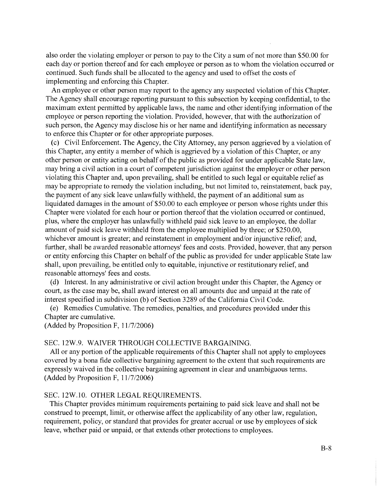also order the violating employer or person to pay to the City a sum of not more than \$50.00 for each day or portion thereof and for each employee or person as to whom the violation occurred or continued. Such funds shall be allocated to the agency and used to offset the costs of implementing and enforcing this Chapter.

An employee or other person may report to the agency any suspected violation of this Chapter. The Agency shall encourage reporting pursuant to this subsection by keeping confidential, to the maximum extent permitted by applicable laws, the name and other identifying information of the employee or person reporting the violation. Provided, however, that with the authorization of such person, the Agency may disclose his or her name and identifying information as necessary to enforce this Chapter or for other appropriate purposes.

(c) Civil Enforcement. The Agency, the City Attorney, any person aggrieved by a violation of this Chapter, any entity a member of which is aggrieved by a violation of this Chapter, or any other person or entity acting on behalf of the public as provided for under applicable State law, may bring a civil action in a court of competent jurisdiction against the employer or other person violating this Chapter and, upon prevailing, shall be entitled to such legal or equitable relief as may be appropriate to remedy the violation including, but not limited to, reinstatement, back pay, the payment of any sick leave unlawfully withheld, the payment of an additional sum as liquidated damages in the amount of \$50.00 to each employee or person whose rights under this Chapter were violated for each hour or portion thereof that the violation occurred or continued, plus, where the employer has unlawfully withheld paid sick leave to an employee, the dollar amount of paid sick leave withheld from the employee multiplied by three; or \$250.00, whichever amount is greater; and reinstatement in employment and/or injunctive relief; and, further, shall be awarded reasonable attorneys' fees and costs. Provided, however, that any person or entity enforcing this Chapter on behalf of the public as provided for under applicable State law shall, upon prevailing, be entitled only to equitable, injunctive or restitutionary relief, and reasonable attorneys' fees and costs.

(d) Interest. In any administrative or civil action brought under this Chapter, the Agency or court, as the case may be, shall award interest on all amounts due and unpaid at the rate of interest specified in subdivision (b) of Section 3289 of the California Civil Code.

(e) Remedies Cumulative. The remedies, penalties, and procedures provided under this Chapter are cumulative.

(Added by Proposition F, 11/7/2006)

#### SEC. 12W.9. WAIVER THROUGH COLLECTIVE BARGAINING.

All or any portion of the applicable requirements of this Chapter shall not apply to employees covered by a bona fide collective bargaining agreement to the extent that such requirements are expressly waived in the collective bargaining agreement in clear and unambiguous terms. (Added by Proposition F, 11/7/2006)

## SEC. 12W.10. OTHER LEGAL REQUIREMENTS.

This Chapter provides minimum requirements pertaining to paid sick leave and shall not be construed to preempt, limit, or otherwise affect the applicability of any other law, regulation, requirement, policy, or standard that provides for greater accrual or use by employees of sick leave, whether paid or unpaid, or that extends other protections to employees.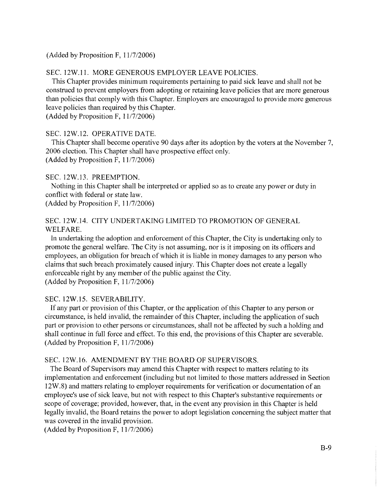### (Added by Proposition F, 11/7/2006)

#### SEC. 12W.11. MORE GENEROUS EMPLOYER LEAVE POLICIES.

This Chapter provides minimum requirements pertaining to paid sick leave and shall not be construed to prevent employers from adopting or retaining leave policies that are more generous than policies that comply with this Chapter. Employers are encouraged to provide more generous leave policies than required by this Chapter.

(Added by Proposition F, 11/7/2006)

#### SEC. 12W.12. OPERATIVE DATE.

This Chapter shall become operative 90 days after its adoption by the voters at the November 7, 2006 election. This Chapter shall have prospective effect only. (Added by Proposition F, 11/7/2006)

#### SEC. 12W.13. PREEMPTION.

Nothing in this Chapter shall be interpreted or applied so as to create any power or duty in conflict with federal or state law.

(Added by Proposition F, 11/7/2006)

## SEC. 12W.14. CITY UNDERTAKING LIMITED TO PROMOTION OF GENERAL WELFARE.

In undertaking the adoption and enforcement of this Chapter, the City is undertaking only to promote the general welfare. The City is not assuming, nor is it imposing on its officers and employees, an obligation for breach of which it is liable in money damages to any person who claims that such breach proximately caused injury. This Chapter does not create a legally enforceable right by any member of the public against the City. (Added by Proposition F, 11/7/2006)

#### SEC. 12W.15. SEVERABILITY.

If any part or provision of this Chapter, or the application of this Chapter to any person or circumstance, is held invalid, the remainder of this Chapter, including the application of such part or provision to other persons or circumstances, shall not be affected by such a holding and shall continue in full force and effect. To this end, the provisions of this Chapter are severable. (Added by Proposition F, 11/7/2006)

#### SEC. 12W.16. AMENDMENT BY THE BOARD OF SUPERVISORS.

The Board of Supervisors may amend this Chapter with respect to matters relating to its implementation and enforcement (including but not limited to those matters addressed in Section 12W.8) and matters relating to employer requirements for verification or documentation of an employee's use of sick leave, but not with respect to this Chapter's substantive requirements or scope of coverage; provided, however, that, in the event any provision in this Chapter is held legally invalid, the Board retains the power to adopt legislation concerning the subject matter that was covered in the invalid provision.

(Added by Proposition F, 11/7/2006)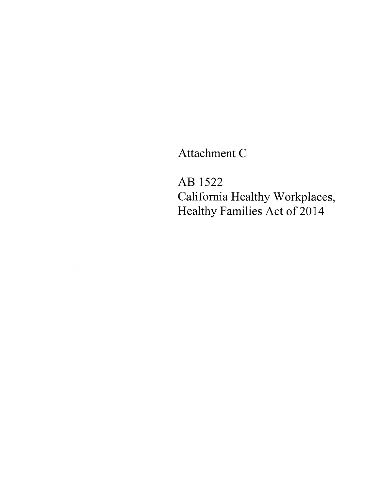Attachment C

AB 1522 California Healthy Workplaces, Healthy Families Act of 2014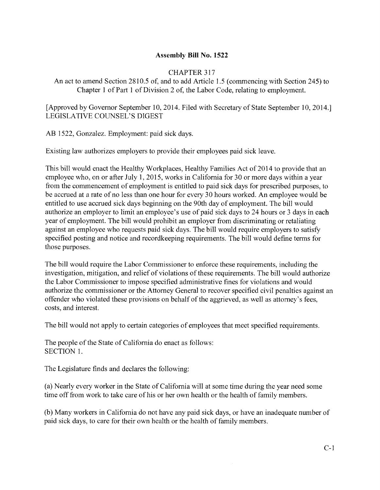## **Assembly Bill No. 1522**

## CHAPTER 317

An act to amend Section 2810.5 of, and to add Article 1.5 (commencing with Section 245) to Chapter 1 of Part 1 of Division 2 of, the Labor Code, relating to employment.

[Approved by Governor September 10, 2014. Filed with Secretary of State September 10, 2014.] LEGISLATIVE COUNSEL'S DIGEST

AB 1522, Gonzalez. Employment: paid sick days.

Existing law authorizes employers to provide their employees paid sick leave.

This bill would enact the Healthy Workplaces, Healthy Families Act of 2014 to provide that an employee who, on or after July 1, 2015, works in California for 30 or more days within a year from the commencement of employment is entitled to paid sick days for prescribed purposes, to be accrued at a rate of no less than one hour for every 30 hours worked. An employee would be entitled to use accrued sick days beginning on the 90th day of employment. The bill would authorize an employer to limit an employee's use of paid sick days to 24 hours or 3 days in each year of employment. The bill would prohibit an employer from discriminating or retaliating against an employee who requests paid sick days. The bill would require employers to satisfy specified posting and notice and recordkeeping requirements. The bill would define terms for those purposes.

The bill would require the Labor Commissioner to enforce these requirements, including the investigation, mitigation, and relief of violations of these requirements. The bill would authorize the Labor Commissioner to impose specified administrative fines for violations and would authorize the commissioner or the Attorney General to recover specified civil penalties against an offender who violated these provisions on behalf of the aggrieved, as well as attorney's fees, costs, and interest.

The bill would not apply to certain categories of employees that meet specified requirements.

The people of the State of California do enact as follows: SECTION 1.

The Legislature finds and declares the following:

(a) Nearly every worker in the State of California will at some time during the year need some time off from work to take care of his or her own health or the health of family members.

(b) Many workers in California do not have any paid sick days, or have an inadequate number of paid sick days, to care for their own health or the health of family members.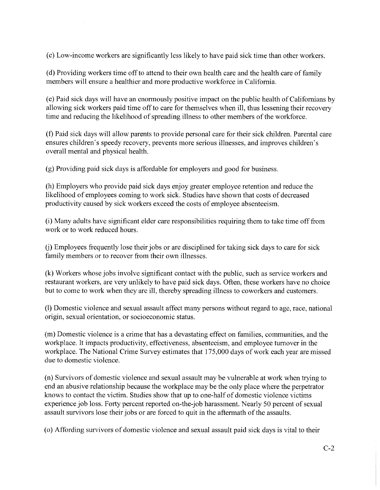(c) Low-income workers are significantly less likely to have paid sick time than other workers.

(d) Providing workers time offto attend to their own health care and the health care offamily members will ensure a healthier and more productive workforce in California.

(e) Paid sick days will have an enormously positive impact on the public health ofCalifornians by allowing sick workers paid time off to care for themselves when ill, thus lessening their recovery time and reducing the likelihood of spreading illness to other members of the workforce.

(f) Paid sick days will allow parents to provide personal care for their sick children. Parental care ensures children's speedy recovery, prevents more serious illnesses, and improves children's overall mental and physical health.

(g) Providing paid sick days is affordable for employers and good for business.

(h) Employers who provide paid sick days enjoy greater employee retention and reduce the likelihood of employees coming to work sick. Studies have shown that costs of decreased productivity caused by sick workers exceed the costs of employee absenteeism.

(i) Many adults have significant elder care responsibilities requiring them to take time offfrom work or to work reduced hours.

(j) Employees frequently lose theirjobs or are disciplined for taking sick days to care for sick family members or to recover from their own illnesses.

(k) Workers whose jobs involve significant contact with the public, such as service workers and restaurant workers, are very unlikely to have paid sick days. Often, these workers have no choice but to come to work when they are ill, thereby spreading illness to coworkers and customers.

(l) Domestic violence and sexual assault affect many persons without regard to age, race, national origin, sexual orientation, or socioeconomic status.

(m) Domestic violence is a crime that has a devastating effect on families, communities, and the workplace. It impacts productivity, effectiveness, absenteeism, and employee turnover in the workplace. The National Crime Survey estimates that 175,000 days of work each year are missed due to domestic violence.

(n) Survivors of domestic violence and sexual assault may be vulnerable at work when trying to end an abusive relationship because the workplace may be the only place where the perpetrator knows to contact the victim. Studies show that up to one-half of domestic violence victims experience job loss. Forty percent reported on-the-job harassment. Nearly 50 percent of sexual assault survivors lose their jobs or are forced to quit in the aftermath of the assaults.

(o) Affording survivors of domestic violence and sexual assault paid sick days is vital to their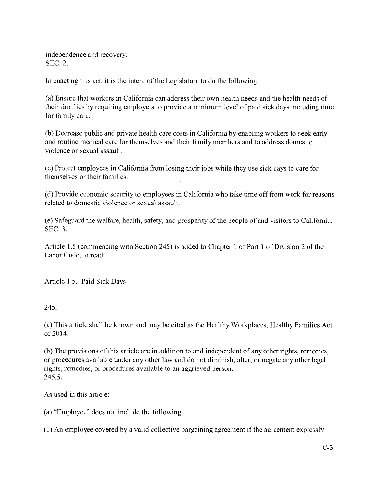independence and recovery. SEC. 2.

In enacting this act, it is the intent of the Legislature to do the following:

(a) Ensure that workers in California can address their own health needs and the health needs of their families by requiring employers to provide a minimum level of paid sick days including time for family care.

(b) Decrease public and private health care costs in California by enabling workers to seek early and routine medical care for themselves and their family members and to address domestic violence or sexual assault.

(c) Protect employees in California from losing theirjobs while they use sick days to care for themselves or their families.

(d) Provide economic security to employees in California who take time offfrom work for reasons related to domestic violence or sexual assault.

(e) Safeguard the welfare, health, safety, and prosperity ofthe people of and visitors to California. SEC. 3.

Article 1.5 (commencing with Section 245) is added to Chapter 1 of Part 1 of Division 2 of the Labor Code, to read:

Article 1.5. Paid Sick Days

245.

(a) This article shall be known and may be cited as the Healthy Workplaces, Healthy Families Act of2014.

(b) The provisions ofthis article are in addition to and independent of any other rights, remedies, or procedures available under any other law and do not diminish, alter, or negate any other legal rights, remedies, or procedures available to an aggrieved person. 245.5.

As used in this article:

(a) "Employee" does not include the following:

(1) An employee covered by a valid collective bargaining agreement ifthe agreement expressly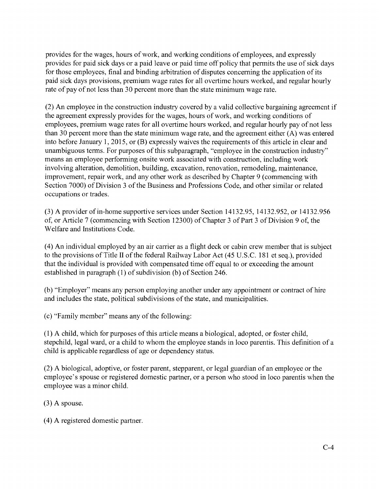provides for the wages, hours of work, and working conditions of employees, and expressly provides for paid sick days or a paid leave or paid time off policy that permits the use of sick days for those employees, final and binding arbitration of disputes concerning the application of its paid sick days provisions, premium wage rates for all overtime hours worked, and regular hourly rate of pay of not less than 30 percent more than the state minimum wage rate.

(2) An employee in the construction industry covered by a valid collective bargaining agreement if the agreement expressly provides for the wages, hours of work, and working conditions of employees, premium wage rates for all overtime hours worked, and regular hourly pay of not less than 30 percent more than the state minimum wage rate, and the agreement either (A) was entered into before January 1, 2015, or (B) expressly waives the requirements of this article in clear and unambiguous terms. For purposes of this subparagraph, "employee in the construction industry" means an employee performing onsite work associated with construction, including work involving alteration, demolition, building, excavation, renovation, remodeling, maintenance, improvement, repair work, and any other work as described by Chapter 9 (commencing with Section 7000) of Division 3 of the Business and Professions Code, and other similar or related occupations or trades.

 $(3)$  A provider of in-home supportive services under Section 14132.95, 14132.952, or 14132.956 of, or Article 7 (commencing with Section 12300) of Chapter 3 of Part 3 of Division 9 of, the Welfare and Institutions Code.

(4) An individual employed by an air carrier as a flight deck or cabin crew member that is subject to the provisions of Title II of the federal Railway Labor Act (45 U.S.C. 181 et seq.), provided that the individual is provided with compensated time off equal to or exceeding the amount established in paragraph  $(1)$  of subdivision  $(b)$  of Section 246.

(b) "Employer" means any person employing another under any appointment or contract of hire and includes the state, political subdivisions of the state, and municipalities.

(c) "Family member" means any of the following:

(1) A child, which for purposes of this article means a biological, adopted, or foster child, stepchild, legal ward, or a child to whom the employee stands in loco parentis. This definition of a child is applicable regardless of age or dependency status.

(2) A biological, adoptive, or foster parent, stepparent, or legal guardian of an employee or the employee's spouse or registered domestic partner, or a person who stood in loco parentis when the employee was a minor child.

(3) A spouse.

(4) A registered domestic partner.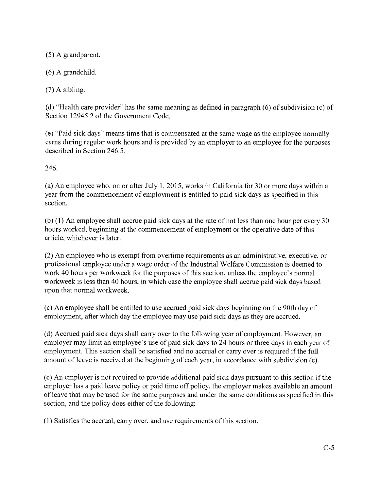(5) A grandparent.

(6) A grandchild.

(7) A sibling.

(d) "Health care provider" has the same meaning as defined in paragraph (6) of subdivision (c) of Section 12945.2 of the Government Code.

(e) "Paid sick days" means time that is compensated at the same wage as the employee normally earns during regular work hours and is provided by an employer to an employee for the purposes described in Section 246.5.

246.

(a) An employee who, on or after July 1, 2015, works in California for 30 or more days within a year from the commencement of employment is entitled to paid sick days as specified in this section.

(b) (1) An employee shall accrue paid sick days at the rate of not less than one hour per every 30 hours worked, beginning at the commencement of employment or the operative date of this article, whichever is later.

(2) An employee who is exempt from overtime requirements as an administrative, executive, or professional employee under a wage order of the Industrial Welfare Commission is deemed to work 40 hours per workweek for the purposes of this section, unless the employee's normal workweek is less than 40 hours, in which case the employee shall accrue paid sick days based upon that normal workweek.

(c) An employee shall be entitled to use accrued paid sick days beginning on the 90th day of employment, after which day the employee may use paid sick days as they are accrued.

(d) Accrued paid sick days shall carry over to the following year of employment. However, an employer may limit an employee's use of paid sick days to 24 hours or three days in each year of employment. This section shall be satisfied and no accrual or carry over is required if the full amount of leave is received at the beginning of each year, in accordance with subdivision (e).

(e) An employer is not required to provide additional paid sick days pursuant to this section ifthe employer has a paid leave policy or paid time off policy, the employer makes available an amount of leave that may be used for the same purposes and under the same conditions as specified in this section, and the policy does either of the following:

(1) Satisfies the accrual, carry over, and use requirements ofthis section.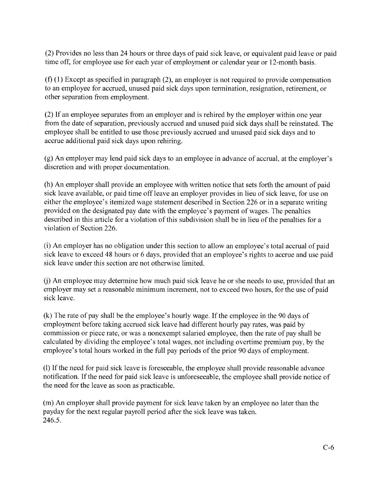(2) Provides no less than 24 hours or three days of paid sick leave, or equivalent paid leave or paid time off, for employee use for each year of employment or calendar year or 12-month basis.

(f) (1) Except as specified in paragraph (2), an employer is not required to provide compensation to an employee for accrued, unused paid sick days upon termination, resignation, retirement, or other separation from employment.

(2) If an employee separates from an employer and is rehired by the employer within one year from the date of separation, previously accrued and unused paid sick days shall be reinstated. The employee shall be entitled to use those previously accrued and unused paid sick days and to accrue additional paid sick days upon rehiring.

(g) An employer may lend paid sick days to an employee in advance of accrual, at the employer's discretion and with proper documentation.

(h) An employer shall provide an employee with written notice that sets forth the amount of paid sick leave available, or paid time off leave an employer provides in lieu of sick leave, for use on either the employee's itemized wage statement described in Section 226 or in a separate writing provided on the designated pay date with the employee's payment of wages. The penalties described in this article for a violation of this subdivision shall be in lieu of the penalties for a violation of Section 226.

(i) An employer has no obligation under this section to allow an employee's total accrual of paid sick leave to exceed 48 hours or 6 days, provided that an employee's rights to accrue and use paid sick leave under this section are not otherwise limited.

(j) An employee may determine how much paid sick leave he or she needs to use, provided that an employer may set a reasonable minimum increment, not to exceed two hours, for the use of paid sick leave.

(k) The rate of pay shall be the employee's hourly wage. If the employee in the 90 days of employment before taking accrued sick leave had different hourly pay rates, was paid by commission or piece rate, or was a nonexempt salaried employee, then the rate of pay shall be calculated by dividing the employee's total wages, not including overtime premium pay, by the employee's total hours worked in the full pay periods of the prior 90 days of employment.

(l) Ifthe need for paid sick leave is foreseeable, the employee shall provide reasonable advance notification. If the need for paid sick leave is unforeseeable, the employee shall provide notice of the need for the leave as soon as practicable.

(m) An employer shall provide payment for sick leave taken by an employee no later than the payday for the next regular payroll period after the sick leave was taken. 246.5.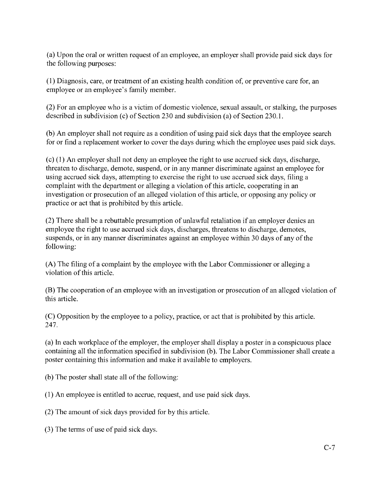(a) Upon the oral or written request of an employee, an employer shall provide paid sick days for the following purposes:

(1) Diagnosis, care, or treatment of an existing health condition of, or preventive care for, an employee or an employee's family member.

(2) For an employee who is a victim of domestic violence, sexual assault, or stalking, the purposes described in subdivision (c) of Section 230 and subdivision (a) of Section 230.1.

(b) An employer shall not require as a condition of using paid sick days that the employee search for or find a replacement worker to cover the days during which the employee uses paid sick days.

(c) (1) An employer shall not deny an employee the right to use accrued sick days, discharge, threaten to discharge, demote, suspend, or in any manner discriminate against an employee for using accrued sick days, attempting to exercise the right to use accrued sick days, filing a complaint with the department or alleging a violation of this article, cooperating in an investigation or prosecution of an alleged violation of this article, or opposing any policy or practice or act that is prohibited by this article.

(2) There shall be a rebuttable presumption of unlawful retaliation if an employer denies an employee the right to use accrued sick days, discharges, threatens to discharge, demotes, suspends, or in any manner discriminates against an employee within 30 days of any of the following:

(A) The filing of a complaint by the employee with the Labor Commissioner or alleging a violation of this article.

(B) The cooperation of an employee with an investigation or prosecution of an alleged violation of this article.

(C) Opposition by the employee to a policy, practice, or act that is prohibited by this article. 247.

(a) In each workplace of the employer, the employer shall display a poster in a conspicuous place containing all the information specified in subdivision (b). The Labor Commissioner shall create a poster containing this information and make it available to employers.

(b) The poster shall state all of the following:

(1) An employee is entitled to accrue, request, and use paid sick days.

(2) The amount of sick days provided for by this article.

 $(3)$  The terms of use of paid sick days.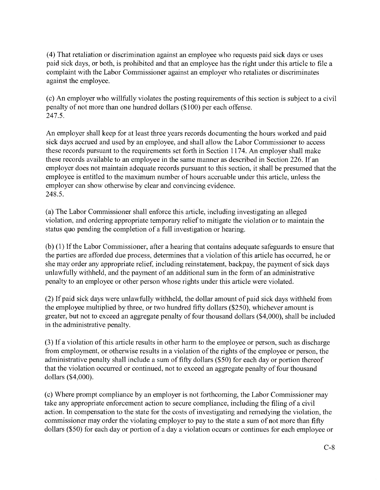(4) That retaliation or discrimination against an employee who requests paid sick days or uses paid sick days, or both, is prohibited and that an employee has the right under this article to file a complaint with the Labor Commissioner against an employer who retaliates or discriminates against the employee.

(c) An employer who willfully violates the posting requirements ofthis section is subject to a civil penalty of not more than one hundred dollars (\$ 100) per each offense. 247.5.

An employer shall keep for at least three years records documenting the hours worked and paid sick days accrued and used by an employee, and shall allow the Labor Commissioner to access these records pursuant to the requirements set forth in Section 1174. An employer shall make these records available to an employee in the same manner as described in Section 226. If an employer does not maintain adequate records pursuant to this section, it shall be presumed that the employee is entitled to the maximum number of hours accruable under this article, unless the employer can show otherwise by clear and convincing evidence. 248.5.

(a) The Labor Commissioner shall enforce this article, including investigating an alleged violation, and ordering appropriate temporary relief to mitigate the violation or to maintain the status quo pending the completion of a full investigation or hearing.

(b) (1) Ifthe Labor Commissioner, after a hearing that contains adequate safeguards to ensure that the parties are afforded due process, determines that a violation of this article has occurred, he or she may order any appropriate relief, including reinstatement, backpay, the payment of sick days unlawfully withheld, and the payment of an additional sum in the form of an administrative penalty to an employee or other person whose rights under this article were violated.

(2) Ifpaid sick days were unlawfully withheld, the dollar amount of paid sick days withheld from the employee multiplied by three, or two hundred fifty dollars (\$250), whichever amount is greater, but not to exceed an aggregate penalty of four thousand dollars (\$4,000), shall be included in the administrative penalty.

(3) If a violation ofthis article results in other harm to the employee or person, such as discharge from employment, or otherwise results in a violation of the rights of the employee or person, the administrative penalty shall include a sum of fifty dollars (\$50) for each day or portion thereof that the violation occurred or continued, not to exceed an aggregate penalty of four thousand dollars (\$4,000).

(c) Where prompt compliance by an employer is not forthcoming, the Labor Commissioner may take any appropriate enforcement action to secure compliance, including the filing of a civil action. In compensation to the state for the costs of investigating and remedying the violation, the commissioner may order the violating employer to pay to the state a sum of not more than fifty dollars (\$50) for each day or portion of a day a violation occurs or continues for each employee or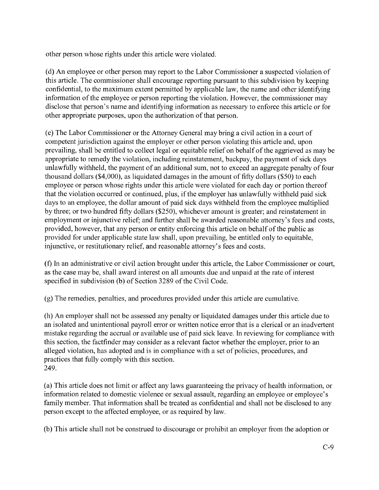other person whose rights under this article were violated.

(d) An employee or other person may report to the Labor Commissioner a suspected violation of this article. The commissioner shall encourage reporting pursuant to this subdivision by keeping confidential, to the maximum extent permitted by applicable law, the name and other identifying information of the employee or person reporting the violation. However, the commissioner may disclose that person's name and identifying information as necessary to enforce this article or for other appropriate purposes, upon the authorization of that person.

(e) The Labor Commissioner or the Attorney General may bring a civil action in a court of competent jurisdiction against the employer or other person violating this article and, upon prevailing, shall be entitled to collect legal or equitable relief on behalf of the aggrieved as may be appropriate to remedy the violation, including reinstatement, backpay, the payment of sick days unlawfully withheld, the payment of an additional sum, not to exceed an aggregate penalty of four thousand dollars  $(\$4,000)$ , as liquidated damages in the amount of fifty dollars  $(\$50)$  to each employee or person whose rights under this article were violated for each day or portion thereof that the violation occurred or continued, plus, if the employer has unlawfully withheld paid sick days to an employee, the dollar amount of paid sick days withheld from the employee multiplied by three; or two hundred fifty dollars (\$250), whichever amount is greater; and reinstatement in employment or injunctive relief; and further shall be awarded reasonable attorney's fees and costs, provided, however, that any person or entity enforcing this article on behalf of the public as provided for under applicable state law shall, upon prevailing, be entitled only to equitable, injunctive, or restitutionary relief, and reasonable attorney's fees and costs.

(f) In an administrative or civil action brought under this article, the Labor Commissioner or court, as the case may be, shall award interest on all amounts due and unpaid at the rate of interest specified in subdivision (b) of Section 3289 of the Civil Code.

(g) The remedies, penalties, and procedures provided under this article are cumulative.

(h) An employer shall not be assessed any penalty or liquidated damages under this article due to an isolated and unintentional payroll error or written notice error that is a clerical or an inadvertent mistake regarding the accrual or available use of paid sick leave. In reviewing for compliance with this section, the factfinder may consider as a relevant factor whether the employer, prior to an alleged violation, has adopted and is in compliance with a set of policies, procedures, and practices that fully comply with this section. 249.

(a) This article does not limit or affect any laws guaranteeing the privacy of health information, or information related to domestic violence or sexual assault, regarding an employee or employee's family member. That information shall be treated as confidential and shall not be disclosed to any person except to the affected employee, or as required by law.

(b) This article shall not be construed to discourage or prohibit an employer from the adoption or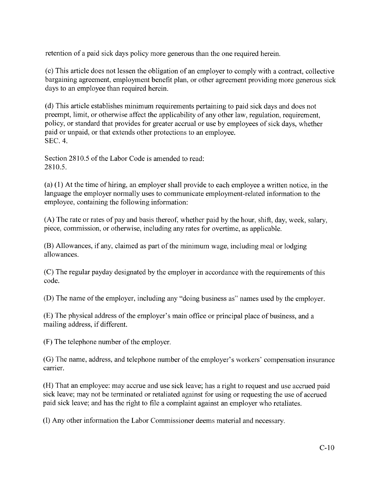retention of a paid sick days policy more generous than the one required herein.

(c) This article does not lessen the obligation of an employer to comply with a contract, collective bargaining agreement, employment benefit plan, or other agreement providing more generous sick days to an employee than required herein.

(d) This article establishes minimum requirements pertaining to paid sick days and does not preempt, limit, or otherwise affect the applicability of any other law, regulation, requirement, policy, or standard that provides for greater accrual or use by employees of sick days, whether paid or unpaid, or that extends other protections to an employee. SEC. 4.

Section 2810.5 of the Labor Code is amended to read: 2810.5.

(a)  $(1)$  At the time of hiring, an employer shall provide to each employee a written notice, in the language the employer normally uses to communicate employment-related information to the employee, containing the following information:

 $(A)$  The rate or rates of pay and basis thereof, whether paid by the hour, shift, day, week, salary, piece, commission, or otherwise, including any rates for overtime, as applicable.

(B) Allowances, if any, claimed as part of the minimum wage, including meal or lodging allowances.

(C) The regular payday designated by the employer in accordance with the requirements ofthis code.

(D) The name of the employer, including any "doing business as" names used by the employer.

(E) The physical address of the employer's main office or principal place of business, and a mailing address, if different.

(F) The telephone number of the employer.

(G) The name, address, and telephone number ofthe employer's workers' compensation insurance carrier.

(H) That an employee: may accrue and use sick leave; has a right to request and use accrued paid sick leave; may not be terminated or retaliated against for using or requesting the use of accrued paid sick leave; and has the right to file a complaint against an employer who retaliates.

(I) Any other information the Labor Commissioner deems material and necessary.